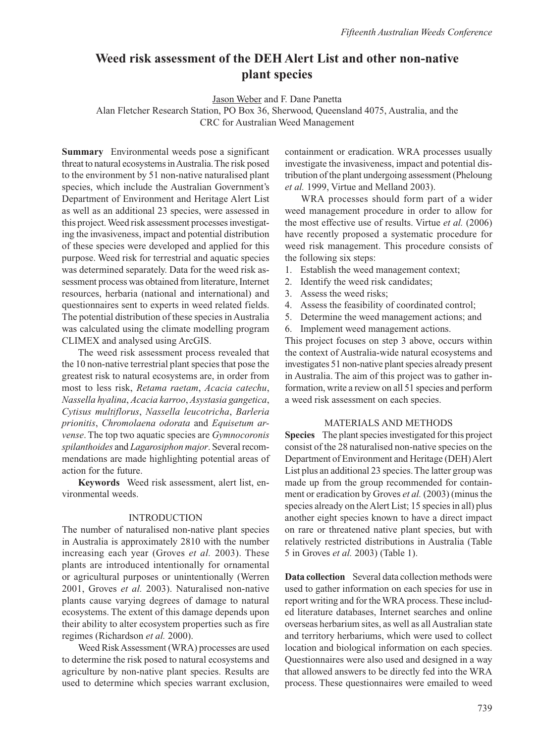# **Weed risk assessment of the DEH Alert List and other non-native plant species**

Jason Weber and F. Dane Panetta

Alan Fletcher Research Station, PO Box 36, Sherwood, Queensland 4075, Australia, and the CRC for Australian Weed Management

**Summary** Environmental weeds pose a significant threat to natural ecosystems in Australia. The risk posed to the environment by 51 non-native naturalised plant species, which include the Australian Government's Department of Environment and Heritage Alert List as well as an additional 23 species, were assessed in this project. Weed risk assessment processes investigating the invasiveness, impact and potential distribution of these species were developed and applied for this purpose. Weed risk for terrestrial and aquatic species was determined separately. Data for the weed risk assessment process was obtained from literature, Internet resources, herbaria (national and international) and questionnaires sent to experts in weed related fields. The potential distribution of these species in Australia was calculated using the climate modelling program CLIMEX and analysed using ArcGIS.

The weed risk assessment process revealed that the 10 non-native terrestrial plant species that pose the greatest risk to natural ecosystems are, in order from most to less risk, *Retama raetam*, *Acacia catechu*, *Nassella hyalina*, *Acacia karroo*, *Asystasia gangetica*, *Cytisus multiflorus*, *Nassella leucotricha*, *Barleria prionitis*, *Chromolaena odorata* and *Equisetum arvense*. The top two aquatic species are *Gymnocoronis spilanthoides* and *Lagarosiphon major*. Several recommendations are made highlighting potential areas of action for the future.

**Keywords** Weed risk assessment, alert list, environmental weeds.

#### INTRODUCTION

The number of naturalised non-native plant species in Australia is approximately 2810 with the number increasing each year (Groves *et al.* 2003). These plants are introduced intentionally for ornamental or agricultural purposes or unintentionally (Werren 2001, Groves *et al.* 2003). Naturalised non-native plants cause varying degrees of damage to natural ecosystems. The extent of this damage depends upon their ability to alter ecosystem properties such as fire regimes (Richardson *et al.* 2000).

Weed Risk Assessment (WRA) processes are used to determine the risk posed to natural ecosystems and agriculture by non-native plant species. Results are used to determine which species warrant exclusion, containment or eradication. WRA processes usually investigate the invasiveness, impact and potential distribution of the plant undergoing assessment (Pheloung *et al.* 1999, Virtue and Melland 2003).

WRA processes should form part of a wider weed management procedure in order to allow for the most effective use of results. Virtue *et al.* (2006) have recently proposed a systematic procedure for weed risk management. This procedure consists of the following six steps:

- 1. Establish the weed management context;
- 2. Identify the weed risk candidates;
- 3. Assess the weed risks;
- 4. Assess the feasibility of coordinated control;
- 5. Determine the weed management actions; and
- 6. Implement weed management actions.

This project focuses on step 3 above, occurs within the context of Australia-wide natural ecosystems and investigates 51 non-native plant species already present in Australia. The aim of this project was to gather information, write a review on all 51 species and perform a weed risk assessment on each species.

#### MATERIALS AND METHODS

**Species** The plant species investigated for this project consist of the 28 naturalised non-native species on the Department of Environment and Heritage (DEH) Alert List plus an additional 23 species. The latter group was made up from the group recommended for containment or eradication by Groves *et al.* (2003) (minus the species already on the Alert List; 15 species in all) plus another eight species known to have a direct impact on rare or threatened native plant species, but with relatively restricted distributions in Australia (Table 5 in Groves *et al.* 2003) (Table 1).

**Data collection** Several data collection methods were used to gather information on each species for use in report writing and for the WRA process. These included literature databases, Internet searches and online overseas herbarium sites, as well as all Australian state and territory herbariums, which were used to collect location and biological information on each species. Questionnaires were also used and designed in a way that allowed answers to be directly fed into the WRA process. These questionnaires were emailed to weed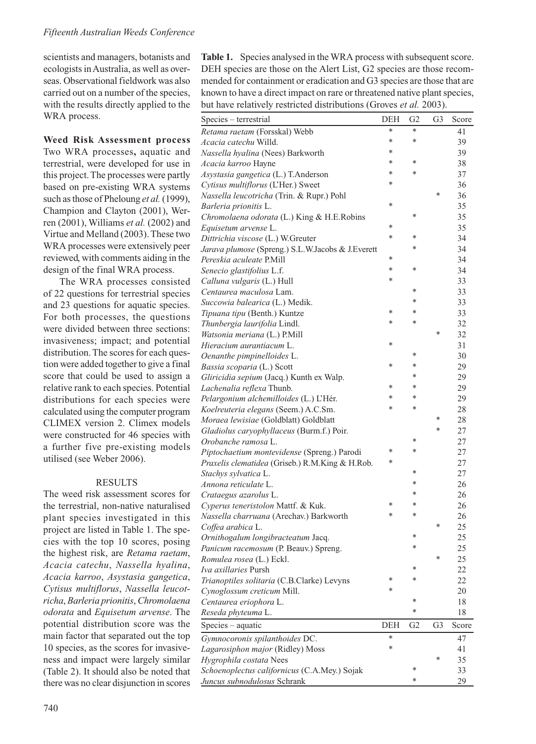scientists and managers, botanists and ecologists in Australia, as well as overseas. Observational fieldwork was also carried out on a number of the species, with the results directly applied to the WRA process.

**Weed Risk Assessment process**  Two WRA processes**,** aquatic and terrestrial, were developed for use in this project. The processes were partly based on pre-existing WRA systems such as those of Pheloung *et al.* (1999), Champion and Clayton (2001), Werren (2001), Williams *et al.* (2002) and Virtue and Melland (2003). These two WRA processes were extensively peer reviewed, with comments aiding in the design of the final WRA process.

The WRA processes consisted of 22 questions for terrestrial species and 23 questions for aquatic species. For both processes, the questions were divided between three sections: invasiveness; impact; and potential distribution. The scores for each question were added together to give a final score that could be used to assign a relative rank to each species. Potential distributions for each species were calculated using the computer program CLIMEX version 2. Climex models were constructed for 46 species with a further five pre-existing models utilised (see Weber 2006).

#### RESULTS

The weed risk assessment scores for the terrestrial, non-native naturalised plant species investigated in this project are listed in Table 1. The species with the top 10 scores, posing the highest risk, are *Retama raetam*, *Acacia catechu*, *Nassella hyalina*, *Acacia karroo*, *Asystasia gangetica*, *Cytisus multiflorus*, *Nassella leucotricha*, *Barleria prionitis*, *Chromolaena odorata* and *Equisetum arvense*. The potential distribution score was the main factor that separated out the top 10 species, as the scores for invasiveness and impact were largely similar (Table 2). It should also be noted that there was no clear disjunction in scores **Table 1.** Species analysed in the WRA process with subsequent score. DEH species are those on the Alert List, G2 species are those recommended for containment or eradication and G3 species are those that are known to have a direct impact on rare or threatened native plant species, but have relatively restricted distributions (Groves *et al.* 2003).

| Species - terrestrial                             | DEH    | G <sub>2</sub> | G3 | Score  |
|---------------------------------------------------|--------|----------------|----|--------|
| Retama raetam (Forsskal) Webb                     | *      | *              |    | 41     |
| Acacia catechu Willd.                             | *      | *              |    | 39     |
| Nassella hyalina (Nees) Barkworth                 | $\ast$ |                |    | 39     |
| Acacia karroo Hayne                               | *      | *              |    | 38     |
| Asystasia gangetica (L.) T.Anderson               | $\ast$ | *              |    | 37     |
| Cytisus multiflorus (L'Her.) Sweet                | ×      |                |    | 36     |
| Nassella leucotricha (Trin. & Rupr.) Pohl         |        |                | *  | 36     |
| Barleria prionitis L.                             | *      |                |    | 35     |
| Chromolaena odorata (L.) King & H.E.Robins        |        | *              |    | 35     |
| Equisetum arvense L.                              | *      |                |    | 35     |
| Dittrichia viscose (L.) W.Greuter                 | *      | *              |    | 34     |
| Jarava plumose (Spreng.) S.L.W.Jacobs & J.Everett |        | $\ast$         |    | 34     |
| Pereskia aculeate P.Mill                          | *      |                |    | 34     |
| Senecio glastifolius L.f.                         | $\ast$ | *              |    | 34     |
| Calluna vulgaris (L.) Hull                        | *      |                |    | 33     |
| Centaurea maculosa Lam.                           |        | *              |    | 33     |
| Succowia balearica (L.) Medik.                    |        | *              |    | 33     |
| Tipuana tipu (Benth.) Kuntze                      | *      | *              |    | 33     |
| Thunbergia laurifolia Lindl.                      | *      | $\ast$         |    | 32     |
| Watsonia meriana (L.) P.Mill                      |        |                | *  | 32     |
| Hieracium aurantiacum L.                          | *      |                |    | 31     |
| Oenanthe pimpinelloides L.                        |        | *              |    | 30     |
| Bassia scoparia (L.) Scott                        | *      | *              |    | 29     |
| Gliricidia sepium (Jacq.) Kunth ex Walp.          |        | $\ast$         |    | 29     |
| Lachenalia reflexa Thunb.                         | *      | *              |    | 29     |
| Pelargonium alchemilloides (L.) L'Hér.            | $\ast$ | $\ast$         |    | 29     |
| Koelreuteria elegans (Seem.) A.C.Sm.              | *      | *              |    | 28     |
| Moraea lewisiae (Goldblatt) Goldblatt             |        |                | *  | 28     |
| Gladiolus caryophyllaceus (Burm.f.) Poir.         |        |                | *  | 27     |
| Orobanche ramosa L.                               |        | *              |    | 27     |
| Piptochaetium montevidense (Spreng.) Parodi       | *      | *              |    | 27     |
| Praxelis clematidea (Griseb.) R.M.King & H.Rob.   | *      |                |    | 27     |
| Stachys sylvatica L.                              |        | *              |    | 27     |
| Annona reticulate L.                              |        | $\ast$         |    | 26     |
| Crataegus azarolus L.                             |        | *              |    | 26     |
| Cyperus teneristolon Mattf. & Kuk.                | *      | *              |    | 26     |
| Nassella charruana (Arechav.) Barkworth           | $\ast$ | *              |    | 26     |
| Coffea arabica L.                                 |        |                | *  | 25     |
| Ornithogalum longibracteatum Jacq.                |        | *              |    | 25     |
| Panicum racemosum (P. Beauv.) Spreng.             |        | *              |    | 25     |
| Romulea rosea (L.) Eckl.                          |        |                | ×  | 25     |
| Iva axillaries Pursh                              |        | *              |    | 22     |
| Trianoptiles solitaria (C.B.Clarke) Levyns        | *      | *              |    | 22     |
| Cynoglossum creticum Mill.                        | $\ast$ |                |    | 20     |
| Centaurea eriophora L.                            |        |                |    | $1\,8$ |
| Reseda phyteuma L.                                |        | *              |    | 18     |
| Species - aquatic                                 | DEH    | G2             | G3 | Score  |
| Gymnocoronis spilanthoides DC.                    | *      |                |    | 47     |
| Lagarosiphon major (Ridley) Moss                  | *      |                |    | 41     |
| Hygrophila costata Nees                           |        |                | *  | 35     |
| Schoenoplectus californicus (C.A.Mey.) Sojak      |        | *              |    | 33     |
| Juncus subnodulosus Schrank                       |        | *              |    | 29     |
|                                                   |        |                |    |        |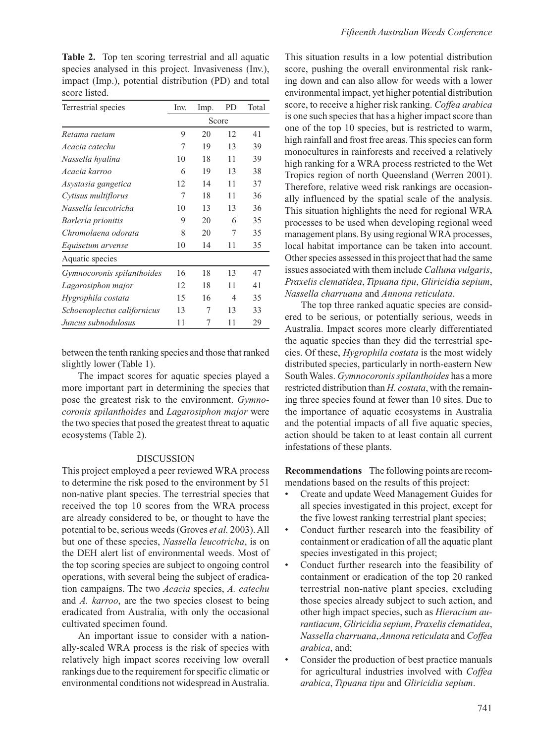**Table 2.** Top ten scoring terrestrial and all aquatic species analysed in this project. Invasiveness (Inv.), impact (Imp.), potential distribution (PD) and total score listed.

| Terrestrial species         | Inv.  | Imp. | PD | Total |  |
|-----------------------------|-------|------|----|-------|--|
|                             | Score |      |    |       |  |
| Retama raetam               | 9     | 20   | 12 | 41    |  |
| Acacia catechu              | 7     | 19   | 13 | 39    |  |
| Nassella hyalina            | 10    | 18   | 11 | 39    |  |
| Acacia karroo               | 6     | 19   | 13 | 38    |  |
| Asystasia gangetica         | 12    | 14   | 11 | 37    |  |
| Cytisus multiflorus         | 7     | 18   | 11 | 36    |  |
| Nassella leucotricha        | 10    | 13   | 13 | 36    |  |
| Barleria prionitis          | 9     | 20   | 6  | 35    |  |
| Chromolaena odorata         | 8     | 20   | 7  | 35    |  |
| Equisetum arvense           | 10    | 14   | 11 | 35    |  |
| Aquatic species             |       |      |    |       |  |
| Gymnocoronis spilanthoides  | 16    | 18   | 13 | 47    |  |
| Lagarosiphon major          | 12    | 18   | 11 | 41    |  |
| Hygrophila costata          | 15    | 16   | 4  | 35    |  |
| Schoenoplectus californicus | 13    | 7    | 13 | 33    |  |
| Juncus subnodulosus         | 11    | 7    | 11 | 29    |  |

between the tenth ranking species and those that ranked slightly lower (Table 1).

The impact scores for aquatic species played a more important part in determining the species that pose the greatest risk to the environment. *Gymnocoronis spilanthoides* and *Lagarosiphon major* were the two species that posed the greatest threat to aquatic ecosystems (Table 2).

#### DISCUSSION

This project employed a peer reviewed WRA process to determine the risk posed to the environment by 51 non-native plant species. The terrestrial species that received the top 10 scores from the WRA process are already considered to be, or thought to have the potential to be, serious weeds (Groves *et al.* 2003). All but one of these species, *Nassella leucotricha*, is on the DEH alert list of environmental weeds. Most of the top scoring species are subject to ongoing control operations, with several being the subject of eradication campaigns. The two *Acacia* species, *A. catechu* and *A. karroo*, are the two species closest to being eradicated from Australia, with only the occasional cultivated specimen found.

An important issue to consider with a nationally-scaled WRA process is the risk of species with relatively high impact scores receiving low overall rankings due to the requirement for specific climatic or environmental conditions not widespread in Australia.

This situation results in a low potential distribution score, pushing the overall environmental risk ranking down and can also allow for weeds with a lower environmental impact, yet higher potential distribution score, to receive a higher risk ranking. *Coffea arabica* is one such species that has a higher impact score than one of the top 10 species, but is restricted to warm, high rainfall and frost free areas. This species can form monocultures in rainforests and received a relatively high ranking for a WRA process restricted to the Wet Tropics region of north Queensland (Werren 2001). Therefore, relative weed risk rankings are occasionally influenced by the spatial scale of the analysis. This situation highlights the need for regional WRA processes to be used when developing regional weed management plans. By using regional WRA processes, local habitat importance can be taken into account. Other species assessed in this project that had the same issues associated with them include *Calluna vulgaris*, *Praxelis clematidea*, *Tipuana tipu*, *Gliricidia sepium*, *Nassella charruana* and *Annona reticulata*.

The top three ranked aquatic species are considered to be serious, or potentially serious, weeds in Australia. Impact scores more clearly differentiated the aquatic species than they did the terrestrial species. Of these, *Hygrophila costata* is the most widely distributed species, particularly in north-eastern New South Wales. *Gymnocoronis spilanthoides* has a more restricted distribution than *H. costata*, with the remaining three species found at fewer than 10 sites. Due to the importance of aquatic ecosystems in Australia and the potential impacts of all five aquatic species, action should be taken to at least contain all current infestations of these plants.

**Recommendations** The following points are recommendations based on the results of this project:

- Create and update Weed Management Guides for all species investigated in this project, except for the five lowest ranking terrestrial plant species;
- Conduct further research into the feasibility of containment or eradication of all the aquatic plant species investigated in this project;
- Conduct further research into the feasibility of containment or eradication of the top 20 ranked terrestrial non-native plant species, excluding those species already subject to such action, and other high impact species, such as *Hieracium aurantiacum*, *Gliricidia sepium*, *Praxelis clematidea*, *Nassella charruana*, *Annona reticulata* and *Coffea arabica*, and;
- Consider the production of best practice manuals for agricultural industries involved with *Coffea arabica*, *Tipuana tipu* and *Gliricidia sepium*.